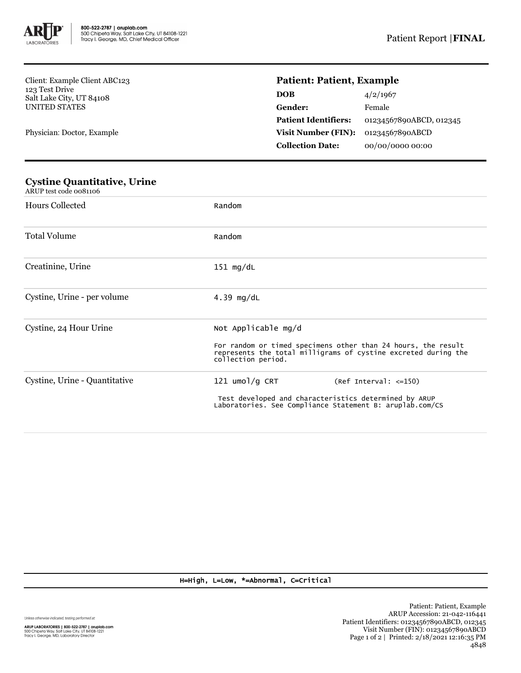

Client: Example Client ABC123 123 Test Drive Salt Lake City, UT 84108 UNITED STATES

Physician: Doctor, Example

## **Patient: Patient, Example**

| 4/2/1967                |
|-------------------------|
| Female                  |
| 01234567890ABCD, 012345 |
| 01234567890ABCD         |
| 00/00/0000 00:00        |
|                         |

## **Cystine Quantitative, Urine** ARUP test code 0081106 Hours Collected Random Total Volume Random Creatinine, Urine 151 mg/dL Cystine, Urine - per volume 4.39 mg/dL Cystine, 24 Hour Urine Not Applicable mg/d For random or timed specimens other than 24 hours, the result represents the total milligrams of cystine excreted during the collection period. Cystine, Urine - Quantitative 121 umol/g CRT (Ref Interval: <=150) Test developed and characteristics determined by ARUP Laboratories. See Compliance Statement B: aruplab.com/CS

## H=High, L=Low, \*=Abnormal, C=Critical

Unless otherwise indicated, testing performed at:

**ARUP LABORATORIES | 800-522-2787 | aruplab.com**<br>500 Chipeta Way, Salt Lake City, UT 84108-1221<br>Tracy I. George, MD, Laboratory Director